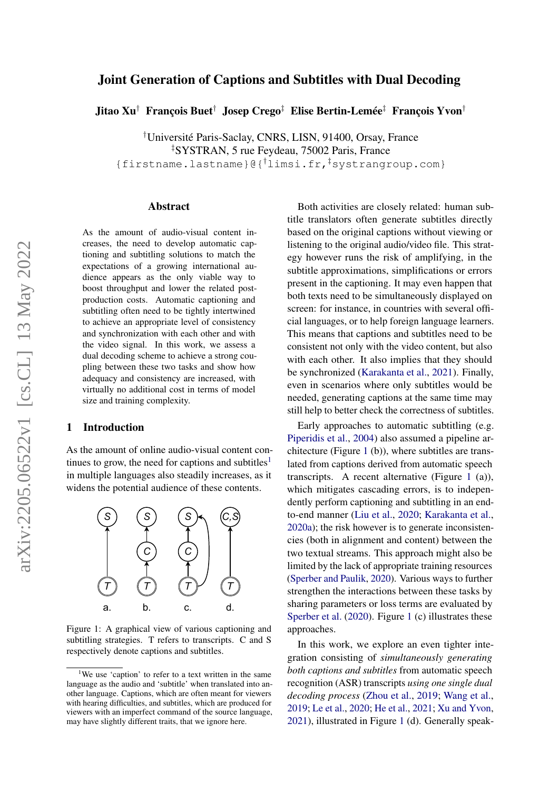# arXiv:2205.06522v1 [cs.CL] 13 May 2022 arXiv:2205.06522v1 [cs.CL] 13 May 2022

# Joint Generation of Captions and Subtitles with Dual Decoding

Jitao Xu† François Buet† Josep Crego‡ Elise Bertin-Lemée‡ François Yvon†

†Université Paris-Saclay, CNRS, LISN, 91400, Orsay, France ‡SYSTRAN, 5 rue Feydeau, 75002 Paris, France

{firstname.lastname}@{†limsi.fr,‡systrangroup.com}

### Abstract

As the amount of audio-visual content increases, the need to develop automatic captioning and subtitling solutions to match the expectations of a growing international audience appears as the only viable way to boost throughput and lower the related postproduction costs. Automatic captioning and subtitling often need to be tightly intertwined to achieve an appropriate level of consistency and synchronization with each other and with the video signal. In this work, we assess a dual decoding scheme to achieve a strong coupling between these two tasks and show how adequacy and consistency are increased, with virtually no additional cost in terms of model size and training complexity.

# 1 Introduction

As the amount of online audio-visual content con-tinues to grow, the need for captions and subtitles<sup>[1](#page-0-0)</sup> in multiple languages also steadily increases, as it widens the potential audience of these contents.

<span id="page-0-1"></span>

Figure 1: A graphical view of various captioning and subtitling strategies. T refers to transcripts. C and S respectively denote captions and subtitles.

Both activities are closely related: human subtitle translators often generate subtitles directly based on the original captions without viewing or listening to the original audio/video file. This strategy however runs the risk of amplifying, in the subtitle approximations, simplifications or errors present in the captioning. It may even happen that both texts need to be simultaneously displayed on screen: for instance, in countries with several official languages, or to help foreign language learners. This means that captions and subtitles need to be consistent not only with the video content, but also with each other. It also implies that they should be synchronized [\(Karakanta et al.,](#page-5-0) [2021\)](#page-5-0). Finally, even in scenarios where only subtitles would be needed, generating captions at the same time may still help to better check the correctness of subtitles.

Early approaches to automatic subtitling (e.g. [Piperidis et al.,](#page-5-1) [2004\)](#page-5-1) also assumed a pipeline architecture (Figure [1](#page-0-1) (b)), where subtitles are translated from captions derived from automatic speech transcripts. A recent alternative (Figure [1](#page-0-1) (a)), which mitigates cascading errors, is to independently perform captioning and subtitling in an endto-end manner [\(Liu et al.,](#page-5-2) [2020;](#page-5-2) [Karakanta et al.,](#page-5-3) [2020a\)](#page-5-3); the risk however is to generate inconsistencies (both in alignment and content) between the two textual streams. This approach might also be limited by the lack of appropriate training resources [\(Sperber and Paulik,](#page-5-4) [2020\)](#page-5-4). Various ways to further strengthen the interactions between these tasks by sharing parameters or loss terms are evaluated by [Sperber et al.](#page-5-5) [\(2020\)](#page-5-5). Figure [1](#page-0-1) (c) illustrates these approaches.

In this work, we explore an even tighter integration consisting of *simultaneously generating both captions and subtitles* from automatic speech recognition (ASR) transcripts *using one single dual decoding process* [\(Zhou et al.,](#page-6-0) [2019;](#page-6-0) [Wang et al.,](#page-5-6) [2019;](#page-5-6) [Le et al.,](#page-5-7) [2020;](#page-5-7) [He et al.,](#page-4-0) [2021;](#page-4-0) [Xu and Yvon,](#page-6-1) [2021\)](#page-6-1), illustrated in Figure [1](#page-0-1) (d). Generally speak-

<span id="page-0-0"></span><sup>&</sup>lt;sup>1</sup>We use 'caption' to refer to a text written in the same language as the audio and 'subtitle' when translated into another language. Captions, which are often meant for viewers with hearing difficulties, and subtitles, which are produced for viewers with an imperfect command of the source language, may have slightly different traits, that we ignore here.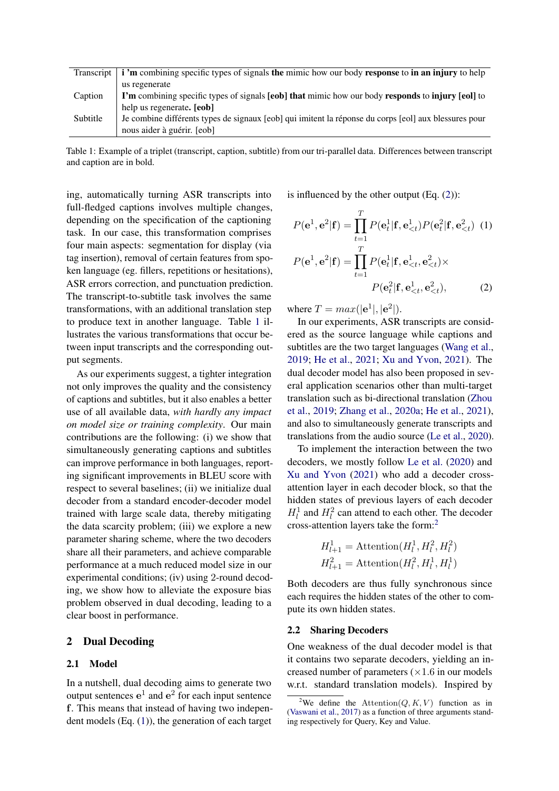<span id="page-1-0"></span>

|          | Transcript $\vert$ <b>i</b> 'm combining specific types of signals the mimic how our body response to in an injury to help |
|----------|----------------------------------------------------------------------------------------------------------------------------|
|          | us regenerate                                                                                                              |
| Caption  | I'm combining specific types of signals [eob] that mimic how our body responds to injury [eol] to                          |
|          | help us regenerate. [eob]                                                                                                  |
| Subtitle | Je combine différents types de signaux [eob] qui imitent la réponse du corps [eol] aux blessures pour                      |
|          | nous aider à guérir. [eob]                                                                                                 |

Table 1: Example of a triplet (transcript, caption, subtitle) from our tri-parallel data. Differences between transcript and caption are in bold.

ing, automatically turning ASR transcripts into full-fledged captions involves multiple changes, depending on the specification of the captioning task. In our case, this transformation comprises four main aspects: segmentation for display (via tag insertion), removal of certain features from spoken language (eg. fillers, repetitions or hesitations), ASR errors correction, and punctuation prediction. The transcript-to-subtitle task involves the same transformations, with an additional translation step to produce text in another language. Table [1](#page-1-0) illustrates the various transformations that occur between input transcripts and the corresponding output segments.

As our experiments suggest, a tighter integration not only improves the quality and the consistency of captions and subtitles, but it also enables a better use of all available data, *with hardly any impact on model size or training complexity*. Our main contributions are the following: (i) we show that simultaneously generating captions and subtitles can improve performance in both languages, reporting significant improvements in BLEU score with respect to several baselines; (ii) we initialize dual decoder from a standard encoder-decoder model trained with large scale data, thereby mitigating the data scarcity problem; (iii) we explore a new parameter sharing scheme, where the two decoders share all their parameters, and achieve comparable performance at a much reduced model size in our experimental conditions; (iv) using 2-round decoding, we show how to alleviate the exposure bias problem observed in dual decoding, leading to a clear boost in performance.

# 2 Dual Decoding

### 2.1 Model

In a nutshell, dual decoding aims to generate two output sentences  $e^1$  and  $e^2$  for each input sentence f. This means that instead of having two independent models (Eq. [\(1\)](#page-1-1)), the generation of each target

is influenced by the other output (Eq. [\(2\)](#page-1-2)):

<span id="page-1-1"></span>
$$
P(\mathbf{e}^1, \mathbf{e}^2 | \mathbf{f}) = \prod_{t=1}^T P(\mathbf{e}_t^1 | \mathbf{f}, \mathbf{e}_{ (1)  

$$
P(\mathbf{e}^1, \mathbf{e}^2 | \mathbf{f}) = \prod_{t=1}^T P(\mathbf{e}_t^1 | \mathbf{f}, \mathbf{e}_{
$$
P(\mathbf{e}_t^2 | \mathbf{f}, \mathbf{e}_{ (2)
$$
$$
$$

<span id="page-1-2"></span>where  $T = max(|e^1|, |e^2|).$ 

In our experiments, ASR transcripts are considered as the source language while captions and subtitles are the two target languages [\(Wang et al.,](#page-5-6) [2019;](#page-5-6) [He et al.,](#page-4-0) [2021;](#page-4-0) [Xu and Yvon,](#page-6-1) [2021\)](#page-6-1). The dual decoder model has also been proposed in several application scenarios other than multi-target translation such as bi-directional translation [\(Zhou](#page-6-0) [et al.,](#page-6-0) [2019;](#page-6-0) [Zhang et al.,](#page-6-2) [2020a;](#page-6-2) [He et al.,](#page-4-0) [2021\)](#page-4-0), and also to simultaneously generate transcripts and translations from the audio source [\(Le et al.,](#page-5-7) [2020\)](#page-5-7).

To implement the interaction between the two decoders, we mostly follow [Le et al.](#page-5-7) [\(2020\)](#page-5-7) and [Xu and Yvon](#page-6-1) [\(2021\)](#page-6-1) who add a decoder crossattention layer in each decoder block, so that the hidden states of previous layers of each decoder  $H_l^1$  and  $H_l^2$  can attend to each other. The decoder cross-attention layers take the form:[2](#page-1-3)

$$
H_{l+1}^1 = \text{Attention}(H_l^1, H_l^2, H_l^2)
$$
  

$$
H_{l+1}^2 = \text{Attention}(H_l^2, H_l^1, H_l^1)
$$

Both decoders are thus fully synchronous since each requires the hidden states of the other to compute its own hidden states.

### 2.2 Sharing Decoders

One weakness of the dual decoder model is that it contains two separate decoders, yielding an increased number of parameters  $(\times 1.6$  in our models w.r.t. standard translation models). Inspired by

<span id="page-1-3"></span><sup>&</sup>lt;sup>2</sup>We define the Attention( $Q, K, V$ ) function as in [\(Vaswani et al.,](#page-5-8) [2017\)](#page-5-8) as a function of three arguments standing respectively for Query, Key and Value.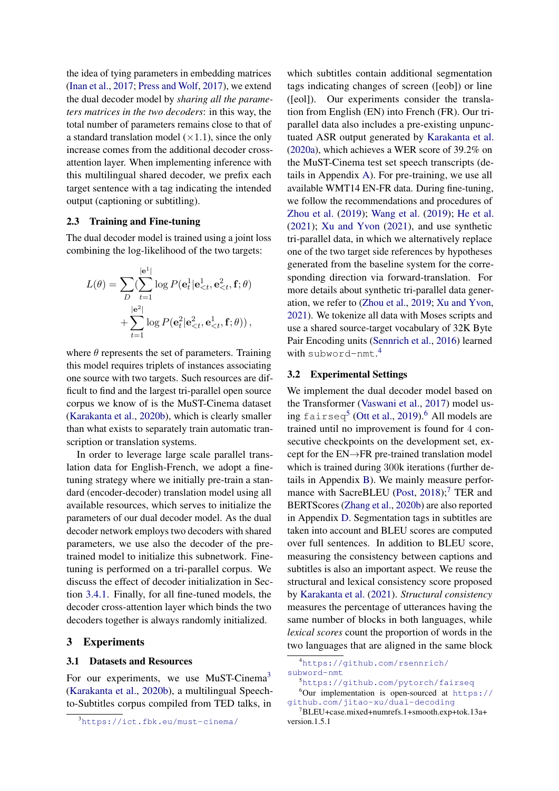the idea of tying parameters in embedding matrices [\(Inan et al.,](#page-5-9) [2017;](#page-5-9) [Press and Wolf,](#page-5-10) [2017\)](#page-5-10), we extend the dual decoder model by *sharing all the parameters matrices in the two decoders*: in this way, the total number of parameters remains close to that of a standard translation model  $(\times 1.1)$ , since the only increase comes from the additional decoder crossattention layer. When implementing inference with this multilingual shared decoder, we prefix each target sentence with a tag indicating the intended output (captioning or subtitling).

# 2.3 Training and Fine-tuning

The dual decoder model is trained using a joint loss combining the log-likelihood of the two targets:

$$
L(\theta) = \sum_{D} \left( \sum_{t=1}^{|\mathbf{e}^{1}|} \log P(\mathbf{e}_{t}^{1} | \mathbf{e}_{
$$

where  $\theta$  represents the set of parameters. Training this model requires triplets of instances associating one source with two targets. Such resources are difficult to find and the largest tri-parallel open source corpus we know of is the MuST-Cinema dataset [\(Karakanta et al.,](#page-5-11) [2020b\)](#page-5-11), which is clearly smaller than what exists to separately train automatic transcription or translation systems.

In order to leverage large scale parallel translation data for English-French, we adopt a finetuning strategy where we initially pre-train a standard (encoder-decoder) translation model using all available resources, which serves to initialize the parameters of our dual decoder model. As the dual decoder network employs two decoders with shared parameters, we use also the decoder of the pretrained model to initialize this subnetwork. Finetuning is performed on a tri-parallel corpus. We discuss the effect of decoder initialization in Section [3.4.1.](#page-3-0) Finally, for all fine-tuned models, the decoder cross-attention layer which binds the two decoders together is always randomly initialized.

# 3 Experiments

### 3.1 Datasets and Resources

For our experiments, we use MuST-Cinema<sup>[3](#page-2-0)</sup> [\(Karakanta et al.,](#page-5-11) [2020b\)](#page-5-11), a multilingual Speechto-Subtitles corpus compiled from TED talks, in

which subtitles contain additional segmentation tags indicating changes of screen ([eob]) or line ([eol]). Our experiments consider the translation from English (EN) into French (FR). Our triparallel data also includes a pre-existing unpunctuated ASR output generated by [Karakanta et al.](#page-5-3) [\(2020a\)](#page-5-3), which achieves a WER score of 39.2% on the MuST-Cinema test set speech transcripts (details in Appendix [A\)](#page-6-3). For pre-training, we use all available WMT14 EN-FR data. During fine-tuning, we follow the recommendations and procedures of [Zhou et al.](#page-6-0) [\(2019\)](#page-6-0); [Wang et al.](#page-5-6) [\(2019\)](#page-5-6); [He et al.](#page-4-0) [\(2021\)](#page-4-0); [Xu and Yvon](#page-6-1) [\(2021\)](#page-6-1), and use synthetic tri-parallel data, in which we alternatively replace one of the two target side references by hypotheses generated from the baseline system for the corresponding direction via forward-translation. For more details about synthetic tri-parallel data generation, we refer to [\(Zhou et al.,](#page-6-0) [2019;](#page-6-0) [Xu and Yvon,](#page-6-1) [2021\)](#page-6-1). We tokenize all data with Moses scripts and use a shared source-target vocabulary of 32K Byte Pair Encoding units [\(Sennrich et al.,](#page-5-12) [2016\)](#page-5-12) learned with subword-nmt. [4](#page-2-1)

# 3.2 Experimental Settings

We implement the dual decoder model based on the Transformer [\(Vaswani et al.,](#page-5-8) [2017\)](#page-5-8) model us-ing fairseq<sup>[5](#page-2-2)</sup> [\(Ott et al.,](#page-5-13) [2019\)](#page-5-13).<sup>[6](#page-2-3)</sup> All models are trained until no improvement is found for 4 consecutive checkpoints on the development set, except for the EN→FR pre-trained translation model which is trained during 300k iterations (further details in Appendix [B\)](#page-6-4). We mainly measure perfor-mance with SacreBLEU [\(Post,](#page-5-14) [2018\)](#page-5-14);<sup>[7](#page-2-4)</sup> TER and BERTScores [\(Zhang et al.,](#page-6-5) [2020b\)](#page-6-5) are also reported in Appendix [D.](#page-7-0) Segmentation tags in subtitles are taken into account and BLEU scores are computed over full sentences. In addition to BLEU score, measuring the consistency between captions and subtitles is also an important aspect. We reuse the structural and lexical consistency score proposed by [Karakanta et al.](#page-5-0) [\(2021\)](#page-5-0). *Structural consistency* measures the percentage of utterances having the same number of blocks in both languages, while *lexical scores* count the proportion of words in the two languages that are aligned in the same block

<span id="page-2-0"></span><sup>3</sup><https://ict.fbk.eu/must-cinema/>

<span id="page-2-1"></span><sup>4</sup>[https://github.com/rsennrich/](https://github.com/rsennrich/subword-nmt) [subword-nmt](https://github.com/rsennrich/subword-nmt)

<span id="page-2-3"></span><span id="page-2-2"></span><sup>5</sup><https://github.com/pytorch/fairseq>  $6$ Our implementation is open-sourced at [https://](https://github.com/jitao-xu/dual-decoding)

<span id="page-2-4"></span>[github.com/jitao-xu/dual-decoding](https://github.com/jitao-xu/dual-decoding) <sup>7</sup>BLEU+case.mixed+numrefs.1+smooth.exp+tok.13a+

version.1.5.1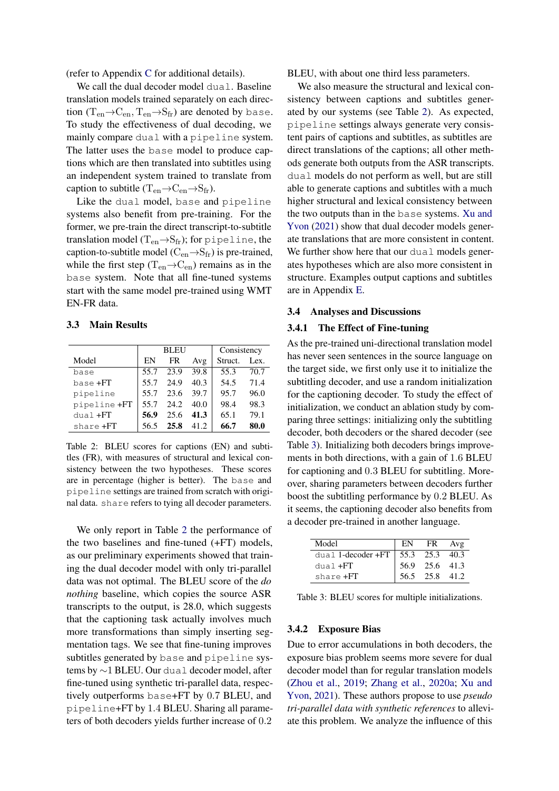(refer to Appendix [C](#page-7-1) for additional details).

We call the dual decoder model dual. Baseline translation models trained separately on each direction  $(T_{en} \rightarrow C_{en}, T_{en} \rightarrow S_{fr})$  are denoted by base. To study the effectiveness of dual decoding, we mainly compare dual with a pipeline system. The latter uses the base model to produce captions which are then translated into subtitles using an independent system trained to translate from caption to subtitle  $(T_{en} \rightarrow C_{en} \rightarrow S_{fr})$ .

Like the dual model, base and pipeline systems also benefit from pre-training. For the former, we pre-train the direct transcript-to-subtitle translation model ( $T_{en} \rightarrow S_{fr}$ ); for pipeline, the caption-to-subtitle model ( $C_{en} \rightarrow S_{fr}$ ) is pre-trained, while the first step ( $T_{en} \rightarrow C_{en}$ ) remains as in the base system. Note that all fine-tuned systems start with the same model pre-trained using WMT EN-FR data.

# 3.3 Main Results

<span id="page-3-1"></span>

|              |      | <b>BLEU</b> |      | Consistency |      |  |
|--------------|------|-------------|------|-------------|------|--|
| Model        | EN   | FR          | Avg  | Struct.     | Lex. |  |
| base         | 55.7 | 23.9        | 39.8 | 55.3        | 70.7 |  |
| base +FT     | 55.7 | 24.9        | 40.3 | 54.5        | 71.4 |  |
| pipeline     | 55.7 | 23.6        | 39.7 | 95.7        | 96.0 |  |
| pipeline +FT | 55.7 | 24.2        | 40.0 | 98.4        | 98.3 |  |
| $dual + FT$  | 56.9 | 25.6        | 41.3 | 65.1        | 79.1 |  |
| share +FT    | 56.5 | 25.8        | 41.2 | 66.7        | 80.0 |  |

Table 2: BLEU scores for captions (EN) and subtitles (FR), with measures of structural and lexical consistency between the two hypotheses. These scores are in percentage (higher is better). The base and pipeline settings are trained from scratch with original data. share refers to tying all decoder parameters.

We only report in Table [2](#page-3-1) the performance of the two baselines and fine-tuned (+FT) models, as our preliminary experiments showed that training the dual decoder model with only tri-parallel data was not optimal. The BLEU score of the *do nothing* baseline, which copies the source ASR transcripts to the output, is 28.0, which suggests that the captioning task actually involves much more transformations than simply inserting segmentation tags. We see that fine-tuning improves subtitles generated by base and pipeline systems by ∼1 BLEU. Our dual decoder model, after fine-tuned using synthetic tri-parallel data, respectively outperforms base+FT by 0.7 BLEU, and pipeline+FT by 1.4 BLEU. Sharing all parameters of both decoders yields further increase of 0.2

BLEU, with about one third less parameters.

We also measure the structural and lexical consistency between captions and subtitles generated by our systems (see Table [2\)](#page-3-1). As expected, pipeline settings always generate very consistent pairs of captions and subtitles, as subtitles are direct translations of the captions; all other methods generate both outputs from the ASR transcripts. dual models do not perform as well, but are still able to generate captions and subtitles with a much higher structural and lexical consistency between the two outputs than in the base systems. [Xu and](#page-6-1) [Yvon](#page-6-1) [\(2021\)](#page-6-1) show that dual decoder models generate translations that are more consistent in content. We further show here that our dual models generates hypotheses which are also more consistent in structure. Examples output captions and subtitles are in Appendix [E.](#page-7-2)

### 3.4 Analyses and Discussions

### <span id="page-3-0"></span>3.4.1 The Effect of Fine-tuning

As the pre-trained uni-directional translation model has never seen sentences in the source language on the target side, we first only use it to initialize the subtitling decoder, and use a random initialization for the captioning decoder. To study the effect of initialization, we conduct an ablation study by comparing three settings: initializing only the subtitling decoder, both decoders or the shared decoder (see Table [3\)](#page-3-2). Initializing both decoders brings improvements in both directions, with a gain of 1.6 BLEU for captioning and 0.3 BLEU for subtitling. Moreover, sharing parameters between decoders further boost the subtitling performance by 0.2 BLEU. As it seems, the captioning decoder also benefits from a decoder pre-trained in another language.

<span id="page-3-2"></span>

| Model                                  | EN | <b>FR</b>            | Avg |
|----------------------------------------|----|----------------------|-----|
| dual 1-decoder + $FT$   55.3 25.3 40.3 |    |                      |     |
| $dual + FT$                            |    | $56.9$ $25.6$ $41.3$ |     |
| share +FT                              |    | 56.5 25.8 41.2       |     |

Table 3: BLEU scores for multiple initializations.

### 3.4.2 Exposure Bias

Due to error accumulations in both decoders, the exposure bias problem seems more severe for dual decoder model than for regular translation models [\(Zhou et al.,](#page-6-0) [2019;](#page-6-0) [Zhang et al.,](#page-6-2) [2020a;](#page-6-2) [Xu and](#page-6-1) [Yvon,](#page-6-1) [2021\)](#page-6-1). These authors propose to use *pseudo tri-parallel data with synthetic references* to alleviate this problem. We analyze the influence of this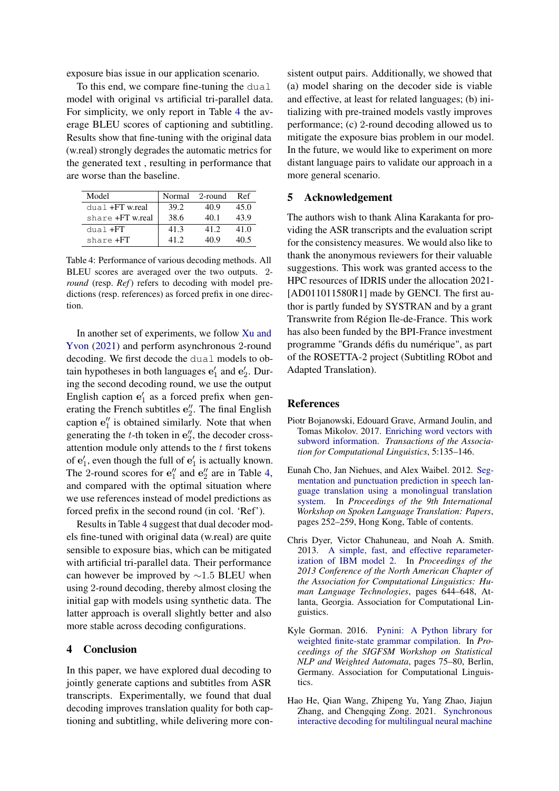exposure bias issue in our application scenario.

To this end, we compare fine-tuning the dual model with original vs artificial tri-parallel data. For simplicity, we only report in Table [4](#page-4-1) the average BLEU scores of captioning and subtitling. Results show that fine-tuning with the original data (w.real) strongly degrades the automatic metrics for the generated text , resulting in performance that are worse than the baseline.

<span id="page-4-1"></span>

| Model                  | Normal | - 2-round | Ref  |
|------------------------|--------|-----------|------|
| $dual + FT$ w.real     | 39.2   | 40.9      | 45.0 |
| share <b>+FT</b> wreal | 38.6   | 40 1      | 43.9 |
| $dual + FT$            | 41.3   | 41.2      | 41.0 |
| share <b>+FT</b>       | 41 2   | 40 9      | 40.5 |

Table 4: Performance of various decoding methods. All BLEU scores are averaged over the two outputs. 2 *round* (resp. *Ref*) refers to decoding with model predictions (resp. references) as forced prefix in one direction.

In another set of experiments, we follow [Xu and](#page-6-1) [Yvon](#page-6-1) [\(2021\)](#page-6-1) and perform asynchronous 2-round decoding. We first decode the dual models to obtain hypotheses in both languages  $\mathbf{e}'_1$  and  $\mathbf{e}'_2$ . During the second decoding round, we use the output English caption  $e'_1$  as a forced prefix when generating the French subtitles  $e''_2$ . The final English caption  $e_1''$  is obtained similarly. Note that when generating the  $t$ -th token in  $\mathbf{e}^{\prime\prime}$ , the decoder crossattention module only attends to the  $t$  first tokens of  $e'_1$ , even though the full of  $e'_1$  is actually known. The 2-round scores for  $\mathbf{e}_1''$  and  $\mathbf{e}_2''$  are in Table [4,](#page-4-1) and compared with the optimal situation where we use references instead of model predictions as forced prefix in the second round (in col. 'Ref').

Results in Table [4](#page-4-1) suggest that dual decoder models fine-tuned with original data (w.real) are quite sensible to exposure bias, which can be mitigated with artificial tri-parallel data. Their performance can however be improved by ∼1.5 BLEU when using 2-round decoding, thereby almost closing the initial gap with models using synthetic data. The latter approach is overall slightly better and also more stable across decoding configurations.

# 4 Conclusion

In this paper, we have explored dual decoding to jointly generate captions and subtitles from ASR transcripts. Experimentally, we found that dual decoding improves translation quality for both captioning and subtitling, while delivering more consistent output pairs. Additionally, we showed that (a) model sharing on the decoder side is viable and effective, at least for related languages; (b) initializing with pre-trained models vastly improves performance; (c) 2-round decoding allowed us to mitigate the exposure bias problem in our model. In the future, we would like to experiment on more distant language pairs to validate our approach in a more general scenario.

### 5 Acknowledgement

The authors wish to thank Alina Karakanta for providing the ASR transcripts and the evaluation script for the consistency measures. We would also like to thank the anonymous reviewers for their valuable suggestions. This work was granted access to the HPC resources of IDRIS under the allocation 2021- [AD011011580R1] made by GENCI. The first author is partly funded by SYSTRAN and by a grant Transwrite from Région Ile-de-France. This work has also been funded by the BPI-France investment programme "Grands défis du numérique", as part of the ROSETTA-2 project (Subtitling RObot and Adapted Translation).

### References

- <span id="page-4-4"></span>Piotr Bojanowski, Edouard Grave, Armand Joulin, and Tomas Mikolov. 2017. [Enriching word vectors with](https://doi.org/10.1162/tacl_a_00051) [subword information.](https://doi.org/10.1162/tacl_a_00051) *Transactions of the Association for Computational Linguistics*, 5:135–146.
- <span id="page-4-2"></span>Eunah Cho, Jan Niehues, and Alex Waibel. 2012. [Seg](https://aclanthology.org/2012.iwslt-papers.15)[mentation and punctuation prediction in speech lan](https://aclanthology.org/2012.iwslt-papers.15)[guage translation using a monolingual translation](https://aclanthology.org/2012.iwslt-papers.15) [system.](https://aclanthology.org/2012.iwslt-papers.15) In *Proceedings of the 9th International Workshop on Spoken Language Translation: Papers*, pages 252–259, Hong Kong, Table of contents.
- <span id="page-4-5"></span>Chris Dyer, Victor Chahuneau, and Noah A. Smith. 2013. [A simple, fast, and effective reparameter](https://www.aclweb.org/anthology/N13-1073)[ization of IBM model 2.](https://www.aclweb.org/anthology/N13-1073) In *Proceedings of the 2013 Conference of the North American Chapter of the Association for Computational Linguistics: Human Language Technologies*, pages 644–648, Atlanta, Georgia. Association for Computational Linguistics.
- <span id="page-4-3"></span>Kyle Gorman. 2016. [Pynini: A Python library for](https://doi.org/10.18653/v1/W16-2409) [weighted finite-state grammar compilation.](https://doi.org/10.18653/v1/W16-2409) In *Proceedings of the SIGFSM Workshop on Statistical NLP and Weighted Automata*, pages 75–80, Berlin, Germany. Association for Computational Linguistics.
- <span id="page-4-0"></span>Hao He, Qian Wang, Zhipeng Yu, Yang Zhao, Jiajun Zhang, and Chengqing Zong. 2021. [Synchronous](https://ojs.aaai.org/index.php/AAAI/article/view/17535) [interactive decoding for multilingual neural machine](https://ojs.aaai.org/index.php/AAAI/article/view/17535)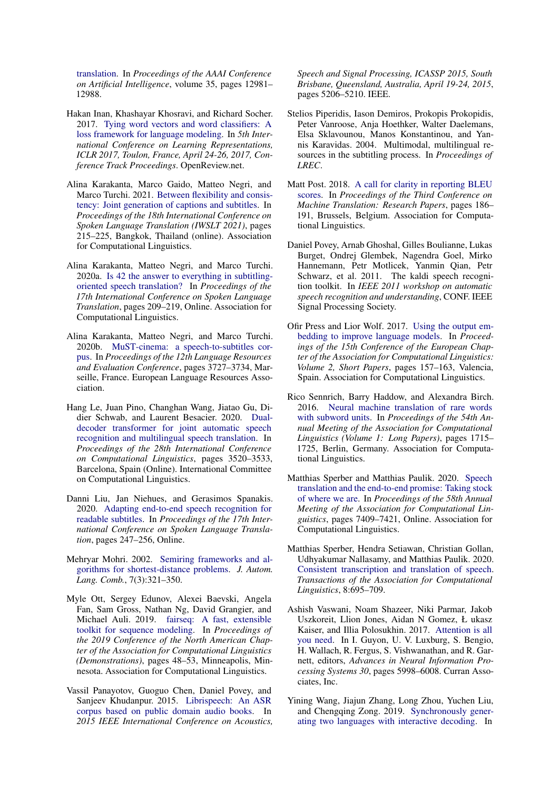[translation.](https://ojs.aaai.org/index.php/AAAI/article/view/17535) In *Proceedings of the AAAI Conference on Artificial Intelligence*, volume 35, pages 12981– 12988.

- <span id="page-5-9"></span>Hakan Inan, Khashayar Khosravi, and Richard Socher. 2017. [Tying word vectors and word classifiers: A](https://openreview.net/forum?id=r1aPbsFle) [loss framework for language modeling.](https://openreview.net/forum?id=r1aPbsFle) In *5th International Conference on Learning Representations, ICLR 2017, Toulon, France, April 24-26, 2017, Conference Track Proceedings*. OpenReview.net.
- <span id="page-5-0"></span>Alina Karakanta, Marco Gaido, Matteo Negri, and Marco Turchi. 2021. [Between flexibility and consis](https://doi.org/10.18653/v1/2021.iwslt-1.26)[tency: Joint generation of captions and subtitles.](https://doi.org/10.18653/v1/2021.iwslt-1.26) In *Proceedings of the 18th International Conference on Spoken Language Translation (IWSLT 2021)*, pages 215–225, Bangkok, Thailand (online). Association for Computational Linguistics.
- <span id="page-5-3"></span>Alina Karakanta, Matteo Negri, and Marco Turchi. 2020a. [Is 42 the answer to everything in subtitling](https://doi.org/10.18653/v1/2020.iwslt-1.26)[oriented speech translation?](https://doi.org/10.18653/v1/2020.iwslt-1.26) In *Proceedings of the 17th International Conference on Spoken Language Translation*, pages 209–219, Online. Association for Computational Linguistics.
- <span id="page-5-11"></span>Alina Karakanta, Matteo Negri, and Marco Turchi. 2020b. [MuST-cinema: a speech-to-subtitles cor](https://aclanthology.org/2020.lrec-1.460)[pus.](https://aclanthology.org/2020.lrec-1.460) In *Proceedings of the 12th Language Resources and Evaluation Conference*, pages 3727–3734, Marseille, France. European Language Resources Association.
- <span id="page-5-7"></span>Hang Le, Juan Pino, Changhan Wang, Jiatao Gu, Didier Schwab, and Laurent Besacier. 2020. [Dual](https://doi.org/10.18653/v1/2020.coling-main.314)[decoder transformer for joint automatic speech](https://doi.org/10.18653/v1/2020.coling-main.314) [recognition and multilingual speech translation.](https://doi.org/10.18653/v1/2020.coling-main.314) In *Proceedings of the 28th International Conference on Computational Linguistics*, pages 3520–3533, Barcelona, Spain (Online). International Committee on Computational Linguistics.
- <span id="page-5-2"></span>Danni Liu, Jan Niehues, and Gerasimos Spanakis. 2020. [Adapting end-to-end speech recognition for](https://doi.org/10.18653/v1/2020.iwslt-1.30) [readable subtitles.](https://doi.org/10.18653/v1/2020.iwslt-1.30) In *Proceedings of the 17th International Conference on Spoken Language Translation*, pages 247–256, Online.
- <span id="page-5-17"></span>Mehryar Mohri. 2002. [Semiring frameworks and al](https://doi.org/10.25596/jalc-2002-321)[gorithms for shortest-distance problems.](https://doi.org/10.25596/jalc-2002-321) *J. Autom. Lang. Comb.*, 7(3):321–350.
- <span id="page-5-13"></span>Myle Ott, Sergey Edunov, Alexei Baevski, Angela Fan, Sam Gross, Nathan Ng, David Grangier, and Michael Auli. 2019. [fairseq: A fast, extensible](https://doi.org/10.18653/v1/N19-4009) [toolkit for sequence modeling.](https://doi.org/10.18653/v1/N19-4009) In *Proceedings of the 2019 Conference of the North American Chapter of the Association for Computational Linguistics (Demonstrations)*, pages 48–53, Minneapolis, Minnesota. Association for Computational Linguistics.
- <span id="page-5-16"></span>Vassil Panayotov, Guoguo Chen, Daniel Povey, and Sanjeev Khudanpur. 2015. [Librispeech: An ASR](https://doi.org/10.1109/ICASSP.2015.7178964) [corpus based on public domain audio books.](https://doi.org/10.1109/ICASSP.2015.7178964) In *2015 IEEE International Conference on Acoustics,*

*Speech and Signal Processing, ICASSP 2015, South Brisbane, Queensland, Australia, April 19-24, 2015*, pages 5206–5210. IEEE.

- <span id="page-5-1"></span>Stelios Piperidis, Iason Demiros, Prokopis Prokopidis, Peter Vanroose, Anja Hoethker, Walter Daelemans, Elsa Sklavounou, Manos Konstantinou, and Yannis Karavidas. 2004. Multimodal, multilingual resources in the subtitling process. In *Proceedings of LREC*.
- <span id="page-5-14"></span>Matt Post. 2018. [A call for clarity in reporting BLEU](https://doi.org/10.18653/v1/W18-6319) [scores.](https://doi.org/10.18653/v1/W18-6319) In *Proceedings of the Third Conference on Machine Translation: Research Papers*, pages 186– 191, Brussels, Belgium. Association for Computational Linguistics.
- <span id="page-5-15"></span>Daniel Povey, Arnab Ghoshal, Gilles Boulianne, Lukas Burget, Ondrej Glembek, Nagendra Goel, Mirko Hannemann, Petr Motlicek, Yanmin Qian, Petr Schwarz, et al. 2011. The kaldi speech recognition toolkit. In *IEEE 2011 workshop on automatic speech recognition and understanding*, CONF. IEEE Signal Processing Society.
- <span id="page-5-10"></span>Ofir Press and Lior Wolf. 2017. [Using the output em](https://aclanthology.org/E17-2025)[bedding to improve language models.](https://aclanthology.org/E17-2025) In *Proceedings of the 15th Conference of the European Chapter of the Association for Computational Linguistics: Volume 2, Short Papers*, pages 157–163, Valencia, Spain. Association for Computational Linguistics.
- <span id="page-5-12"></span>Rico Sennrich, Barry Haddow, and Alexandra Birch. 2016. [Neural machine translation of rare words](https://doi.org/10.18653/v1/P16-1162) [with subword units.](https://doi.org/10.18653/v1/P16-1162) In *Proceedings of the 54th Annual Meeting of the Association for Computational Linguistics (Volume 1: Long Papers)*, pages 1715– 1725, Berlin, Germany. Association for Computational Linguistics.
- <span id="page-5-4"></span>Matthias Sperber and Matthias Paulik. 2020. [Speech](https://doi.org/10.18653/v1/2020.acl-main.661) [translation and the end-to-end promise: Taking stock](https://doi.org/10.18653/v1/2020.acl-main.661) [of where we are.](https://doi.org/10.18653/v1/2020.acl-main.661) In *Proceedings of the 58th Annual Meeting of the Association for Computational Linguistics*, pages 7409–7421, Online. Association for Computational Linguistics.
- <span id="page-5-5"></span>Matthias Sperber, Hendra Setiawan, Christian Gollan, Udhyakumar Nallasamy, and Matthias Paulik. 2020. [Consistent transcription and translation of speech.](https://doi.org/10.1162/tacl_a_00340) *Transactions of the Association for Computational Linguistics*, 8:695–709.
- <span id="page-5-8"></span>Ashish Vaswani, Noam Shazeer, Niki Parmar, Jakob Uszkoreit, Llion Jones, Aidan N Gomez, Ł ukasz Kaiser, and Illia Polosukhin. 2017. [Attention is all](http://papers.nips.cc/paper/7181-attention-is-all-you-need.pdf) [you need.](http://papers.nips.cc/paper/7181-attention-is-all-you-need.pdf) In I. Guyon, U. V. Luxburg, S. Bengio, H. Wallach, R. Fergus, S. Vishwanathan, and R. Garnett, editors, *Advances in Neural Information Processing Systems 30*, pages 5998–6008. Curran Associates, Inc.
- <span id="page-5-6"></span>Yining Wang, Jiajun Zhang, Long Zhou, Yuchen Liu, and Chengqing Zong. 2019. [Synchronously gener](https://doi.org/10.18653/v1/D19-1330)[ating two languages with interactive decoding.](https://doi.org/10.18653/v1/D19-1330) In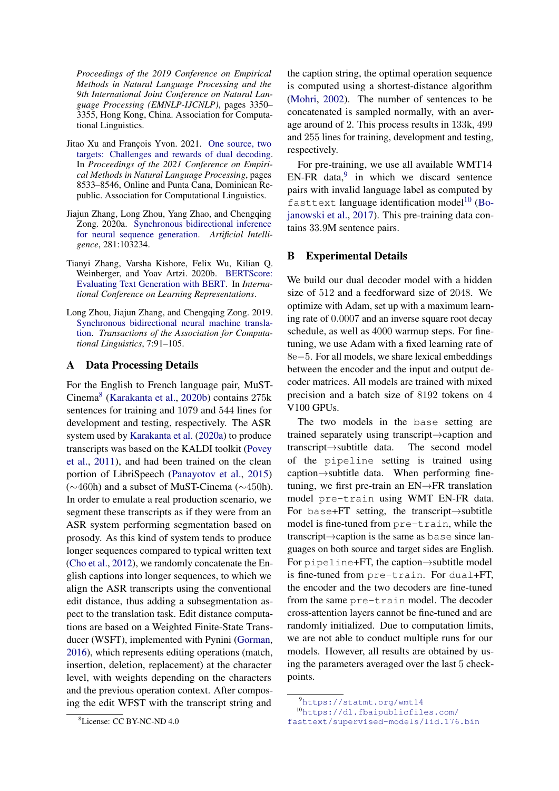*Proceedings of the 2019 Conference on Empirical Methods in Natural Language Processing and the 9th International Joint Conference on Natural Language Processing (EMNLP-IJCNLP)*, pages 3350– 3355, Hong Kong, China. Association for Computational Linguistics.

- <span id="page-6-1"></span>Jitao Xu and François Yvon. 2021. [One source, two](https://aclanthology.org/2021.emnlp-main.671) [targets: Challenges and rewards of dual decoding.](https://aclanthology.org/2021.emnlp-main.671) In *Proceedings of the 2021 Conference on Empirical Methods in Natural Language Processing*, pages 8533–8546, Online and Punta Cana, Dominican Republic. Association for Computational Linguistics.
- <span id="page-6-2"></span>Jiajun Zhang, Long Zhou, Yang Zhao, and Chengqing Zong. 2020a. [Synchronous bidirectional inference](https://doi.org/https://doi.org/10.1016/j.artint.2020.103234) [for neural sequence generation.](https://doi.org/https://doi.org/10.1016/j.artint.2020.103234) *Artificial Intelligence*, 281:103234.
- <span id="page-6-5"></span>Tianyi Zhang, Varsha Kishore, Felix Wu, Kilian Q. Weinberger, and Yoav Artzi. 2020b. [BERTScore:](https://openreview.net/forum?id=SkeHuCVFDr) [Evaluating Text Generation with BERT.](https://openreview.net/forum?id=SkeHuCVFDr) In *International Conference on Learning Representations*.
- <span id="page-6-0"></span>Long Zhou, Jiajun Zhang, and Chengqing Zong. 2019. [Synchronous bidirectional neural machine transla](https://doi.org/10.1162/tacl_a_00256)[tion.](https://doi.org/10.1162/tacl_a_00256) *Transactions of the Association for Computational Linguistics*, 7:91–105.

# <span id="page-6-3"></span>A Data Processing Details

For the English to French language pair, MuST-Cinema[8](#page-6-6) [\(Karakanta et al.,](#page-5-11) [2020b\)](#page-5-11) contains 275k sentences for training and 1079 and 544 lines for development and testing, respectively. The ASR system used by [Karakanta et al.](#page-5-3) [\(2020a\)](#page-5-3) to produce transcripts was based on the KALDI toolkit [\(Povey](#page-5-15) [et al.,](#page-5-15) [2011\)](#page-5-15), and had been trained on the clean portion of LibriSpeech [\(Panayotov et al.,](#page-5-16) [2015\)](#page-5-16) (∼460h) and a subset of MuST-Cinema (∼450h). In order to emulate a real production scenario, we segment these transcripts as if they were from an ASR system performing segmentation based on prosody. As this kind of system tends to produce longer sequences compared to typical written text [\(Cho et al.,](#page-4-2) [2012\)](#page-4-2), we randomly concatenate the English captions into longer sequences, to which we align the ASR transcripts using the conventional edit distance, thus adding a subsegmentation aspect to the translation task. Edit distance computations are based on a Weighted Finite-State Transducer (WSFT), implemented with Pynini [\(Gorman,](#page-4-3) [2016\)](#page-4-3), which represents editing operations (match, insertion, deletion, replacement) at the character level, with weights depending on the characters and the previous operation context. After composing the edit WFST with the transcript string and

the caption string, the optimal operation sequence is computed using a shortest-distance algorithm [\(Mohri,](#page-5-17) [2002\)](#page-5-17). The number of sentences to be concatenated is sampled normally, with an average around of 2. This process results in 133k, 499 and 255 lines for training, development and testing, respectively.

For pre-training, we use all available WMT14 EN-FR data, $9$  in which we discard sentence pairs with invalid language label as computed by fasttext language identification model<sup>[10](#page-6-8)</sup> [\(Bo](#page-4-4)[janowski et al.,](#page-4-4) [2017\)](#page-4-4). This pre-training data contains 33.9M sentence pairs.

# <span id="page-6-4"></span>B Experimental Details

We build our dual decoder model with a hidden size of 512 and a feedforward size of 2048. We optimize with Adam, set up with a maximum learning rate of 0.0007 and an inverse square root decay schedule, as well as 4000 warmup steps. For finetuning, we use Adam with a fixed learning rate of 8e−5. For all models, we share lexical embeddings between the encoder and the input and output decoder matrices. All models are trained with mixed precision and a batch size of 8192 tokens on 4 V<sub>100</sub> GPU<sub>s</sub>.

The two models in the base setting are trained separately using transcript→caption and transcript→subtitle data. The second model of the pipeline setting is trained using caption→subtitle data. When performing finetuning, we first pre-train an EN→FR translation model pre-train using WMT EN-FR data. For base+FT setting, the transcript→subtitle model is fine-tuned from pre-train, while the transcript→caption is the same as base since languages on both source and target sides are English. For pipeline+FT, the caption→subtitle model is fine-tuned from pre-train. For dual+FT, the encoder and the two decoders are fine-tuned from the same pre-train model. The decoder cross-attention layers cannot be fine-tuned and are randomly initialized. Due to computation limits, we are not able to conduct multiple runs for our models. However, all results are obtained by using the parameters averaged over the last 5 checkpoints.

<span id="page-6-6"></span><sup>8</sup>License: CC BY-NC-ND 4.0

<span id="page-6-8"></span><span id="page-6-7"></span><sup>9</sup><https://statmt.org/wmt14> <sup>10</sup>[https://dl.fbaipublicfiles.com/](https://dl.fbaipublicfiles.com/fasttext/supervised-models/lid.176.bin) [fasttext/supervised-models/lid.176.bin](https://dl.fbaipublicfiles.com/fasttext/supervised-models/lid.176.bin)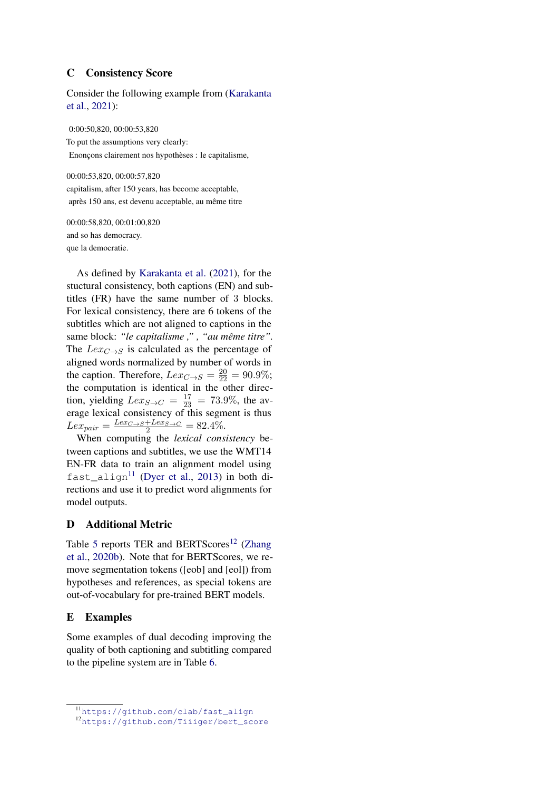# <span id="page-7-1"></span>C Consistency Score

Consider the following example from [\(Karakanta](#page-5-0) [et al.,](#page-5-0) [2021\)](#page-5-0):

0:00:50,820, 00:00:53,820 To put the assumptions very clearly: Enonçons clairement nos hypothèses : le capitalisme,

00:00:53,820, 00:00:57,820 capitalism, after 150 years, has become acceptable, après 150 ans, est devenu acceptable, au même titre

00:00:58,820, 00:01:00,820 and so has democracy. que la democratie.

As defined by [Karakanta et al.](#page-5-0) [\(2021\)](#page-5-0), for the stuctural consistency, both captions (EN) and subtitles (FR) have the same number of 3 blocks. For lexical consistency, there are 6 tokens of the subtitles which are not aligned to captions in the same block: *"le capitalisme ," , "au même titre".* The  $Lex_{C\rightarrow S}$  is calculated as the percentage of aligned words normalized by number of words in the caption. Therefore,  $Lex_{C\rightarrow S} = \frac{20}{22} = 90.9\%$ ; the computation is identical in the other direction, yielding  $Lex_{S\rightarrow C} = \frac{17}{23} = 73.9\%$ , the average lexical consistency of this segment is thus  $Lex_{pair} = \frac{Lex_{C \to S} + Lex_{S \to C}}{2} = 82.4\%.$ 

When computing the *lexical consistency* between captions and subtitles, we use the WMT14 EN-FR data to train an alignment model using  $fast\_align^{11}$  $fast\_align^{11}$  $fast\_align^{11}$  [\(Dyer et al.,](#page-4-5) [2013\)](#page-4-5) in both directions and use it to predict word alignments for model outputs.

# <span id="page-7-0"></span>D Additional Metric

Table [5](#page-8-0) reports TER and BERTScores<sup>[12](#page-7-4)</sup> [\(Zhang](#page-6-5) [et al.,](#page-6-5) [2020b\)](#page-6-5). Note that for BERTScores, we remove segmentation tokens ([eob] and [eol]) from hypotheses and references, as special tokens are out-of-vocabulary for pre-trained BERT models.

# <span id="page-7-2"></span>E Examples

Some examples of dual decoding improving the quality of both captioning and subtitling compared to the pipeline system are in Table [6.](#page-8-1)

<span id="page-7-3"></span><sup>11</sup>[https://github.com/clab/fast\\_align](https://github.com/clab/fast_align)

<span id="page-7-4"></span><sup>12</sup>[https://github.com/Tiiiger/bert\\_score](https://github.com/Tiiiger/bert_score)